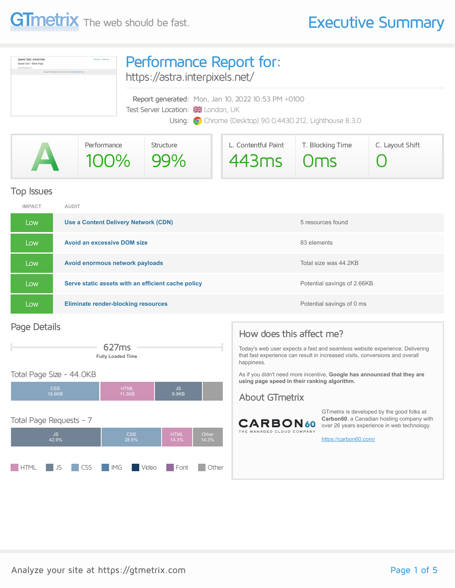

| Speed Test: Astra Free<br>Speed Test - Blank Page<br>Traces delicationship 2.7-8<br>location in \$500 located from dome from (Program) his from that fillings Theme | Performance Report for:<br>https://astra.interpixels.net/                                                                                              |  |  |  |
|---------------------------------------------------------------------------------------------------------------------------------------------------------------------|--------------------------------------------------------------------------------------------------------------------------------------------------------|--|--|--|
|                                                                                                                                                                     | Report generated: Mon, Jan 10, 2022 10:53 PM +0100<br>Test Server Location: XX London, UK<br>Using: O Chrome (Desktop) 90.0.4430.212, Lighthouse 8.3.0 |  |  |  |

|   | Performance | Structure | L. Contentful Paint | T. Blocking Time | C. Layout Shift |
|---|-------------|-----------|---------------------|------------------|-----------------|
| A | 100% 99%    |           | $443ms$ $0ms$       |                  |                 |

#### Top Issues

| <b>IMPACT</b> | <b>AUDIT</b>                                       |                             |
|---------------|----------------------------------------------------|-----------------------------|
| Low           | Use a Content Delivery Network (CDN)               | 5 resources found           |
| Low           | <b>Avoid an excessive DOM size</b>                 | 83 elements                 |
| Low           | Avoid enormous network payloads                    | Total size was 44.2KB       |
| Low           | Serve static assets with an efficient cache policy | Potential savings of 2.66KB |
| Low           | <b>Eliminate render-blocking resources</b>         | Potential savings of 0 ms   |

#### Page Details



#### Total Page Size - 44.0KB



#### How does this affect me?

Today's web user expects a fast and seamless website experience. Delivering that fast experience can result in increased visits, conversions and overall happiness.

As if you didn't need more incentive, **Google has announced that they are using page speed in their ranking algorithm.**

#### About GTmetrix



GTmetrix is developed by the good folks at **Carbon60**, a Canadian hosting company with over 26 years experience in web technology.

<https://carbon60.com/>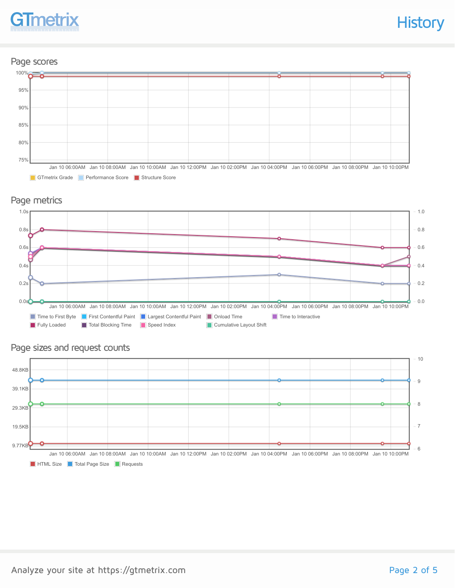

#### Page scores



GTmetrix Grade Performance Score Structure Score

### Page metrics



#### Page sizes and request counts

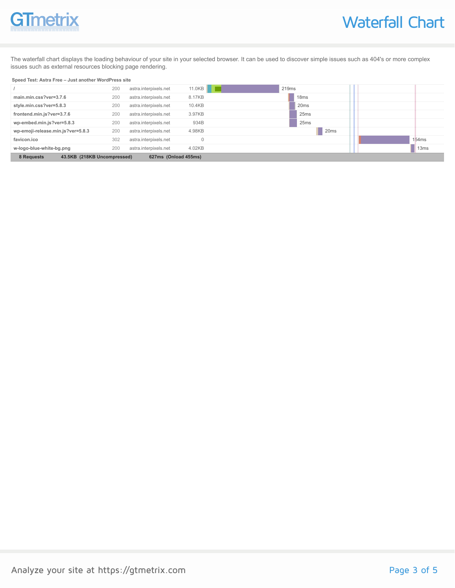# **GTmetrix**

The waterfall chart displays the loading behaviour of your site in your selected browser. It can be used to discover simple issues such as 404's or more complex issues such as external resources blocking page rendering.

#### **Speed Test: Astra Free – Just another WordPress site**

|                                                                   | 200 | astra.interpixels.net | 11.0KB   | 219 <sub>ms</sub> |       |
|-------------------------------------------------------------------|-----|-----------------------|----------|-------------------|-------|
| main.min.css?ver=3.7.6                                            | 200 | astra.interpixels.net | 8.17KB   | 18 <sub>ms</sub>  |       |
| style.min.css?ver=5.8.3                                           | 200 | astra.interpixels.net | 10.4KB   | 20 <sub>ms</sub>  |       |
| frontend.min.js?ver=3.7.6                                         | 200 | astra.interpixels.net | 3.97KB   | 25 <sub>ms</sub>  |       |
| wp-embed.min.js?ver=5.8.3                                         | 200 | astra.interpixels.net | 934B     | 25 <sub>ms</sub>  |       |
| wp-emoji-release.min.js?ver=5.8.3                                 | 200 | astra.interpixels.net | 4.98KB   | 20 <sub>ms</sub>  |       |
| favicon.ico                                                       | 302 | astra.interpixels.net | $\Omega$ |                   | 154ms |
| w-logo-blue-white-bg.png                                          | 200 | astra.interpixels.net | 4.02KB   |                   | 13ms  |
| 8 Requests<br>43.5KB (218KB Uncompressed)<br>627ms (Onload 455ms) |     |                       |          |                   |       |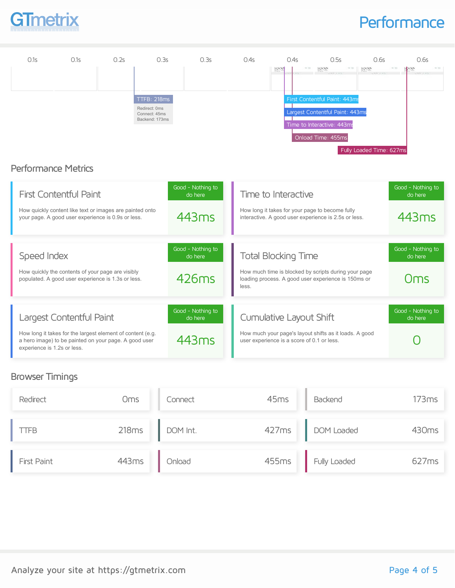

### **Performance**



#### Browser Timings

| Redirect    | Oms   | Connect  | 45 <sub>ms</sub> | Backend          | 173ms             |
|-------------|-------|----------|------------------|------------------|-------------------|
| LTFB.       | 218ms | DOM Int. |                  | 427ms DOM Loaded | 430 <sub>ms</sub> |
| First Paint | 443ms | Onload   | 455ms            | Fully Loaded     | 627ms             |